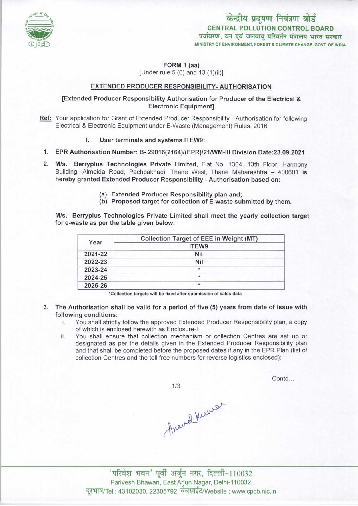

केन्द्रीय प्रदूषण नियंत्रण बोर्ड CENTRAL POLLUTION CONTROL BOARD पर्यावरण, वन एवं जलवायु परिवर्तन मंत्रालय भारत सरकार MINISTRY OF ENVIRONMENT, FOREST & CLIMATE CHANGE GOVT. OF INDIA

FORM 1 (aa)

[Under rule  $5(6)$  and  $13(1)(ii)$ ]

## EXTENDED PRODUCER RESPONSIBILITY- AUTHORISATION

## [Extended Producer Responsibility Authorisation for Producer of the Electrical & Electronic Equipment]

- Ref: Your application for Grant of Extended Producer Responsibility Authorisation for following Electrical & Electronic Equipment under E-Waste (Management) Rules, 2016
	- I. User terminals and systems ITEW9:
	- 1.EPR Authorisation Number: B-29016(2164)/(EPR)/21/WM-lll Division Date:23.09.2021
	- 2.M/s. Berryplus Technologies Private Limited, Flat No. 1304, 13th Floor, Harmony Building, Almeida Road, Pachpakhadi, Thane West, Thane Maharashtra - 400601 is hereby granted Extended Producer Responsibility - Authorisation based on:
		- (a)Extended Producer Responsibility plan and;
		- (b) Proposed target for collection of E-waste submitted by them.

M/s. Berryplus Technologies Private Limited shall meet the yearly collection target for e-waste as per the table given below:

| Year    | Collection Target of EEE in Weight (MT) |
|---------|-----------------------------------------|
|         | ITEW9                                   |
| 2021-22 | Nil                                     |
| 2022-23 | Nil                                     |
| 2023-24 | *                                       |
| 2024-25 | $\star$                                 |
| 2025-26 | $\ast$                                  |

•Collection targets will be fixed after submission of sales data

- 3. The Authorisation shall be valid for a period of five (5) years from date of issue with following conditions:
	- i. You shall strictly follow the approved Extended Producer Responsibility plan, <sup>a</sup> copy of which is enclosed herewith as Enclosure-I;
	- ii. You shall ensure that collection mechanism or collection Centres are set up or designated as per the details given in the Extended Producer Responsibility plan and that shall be completed before the proposed dates if any in the EPR Plan (list of collection Centres and the toll free numbers for reverse logistics enclosed);

 $1/3$ 

Contd...

<sup>|</sup> ^-1 <sup>10032</sup> Parivesh Bhawan, East Arjun Nagar, Delhi-110032 दुरभाष/Tel : 43102030, 22305792, वेबसाईट/Website : www.cpcb.nic.in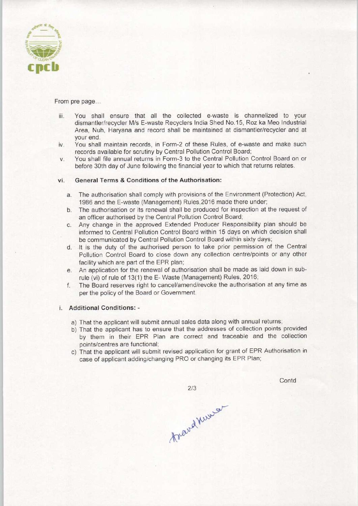

From pre page...

- iii. You shall ensure that all the collected e-waste is channelized to your dismantler/recycler M/s E-waste Recyclers India Shed No.15, Roz ka Meo Industrial Area, Nuh, Haryana and record shall be maintained at dismantler/recycler and at your end.
- iv. You shall maintain records, in Form-2 of these Rules, of e-waste and make such records available for scrutiny by Central Pollution Control Board;
- v. You shall file annual returns in Form-3 to the Central Pollution Control Board on or before 30th day of June following the financial year to which that returns relates.

#### vi. General Terms & Conditions of the Authorisation:

- a. The authorisation shall comply with provisions of the Environment (Protection) Act, 1986 and the E-waste (Management) Rules,2016 made there under;
- b. The authorisation or its renewal shall be produced for inspection at the request of an officer authorised by the Central Pollution Control Board;
- c.Any change in the approved Extended Producer Responsibility plan should be informed to Central Pollution Control Board within 15 days on which decision shall be communicated by Central Pollution Control Board within sixty days;
- d. It is the duty of the authorised person to take prior permission of the Central Pollution Control Board to close down any collection centre/points or any other facility which are part of the EPR plan;
- e. An application for the renewal of authorisation shall be made as laid down in subrule (vi) of rule of 13(1) the E-Waste (Management) Rules, 2016;
- f. The Board reserves right to cancel/amend/revoke the authorisation at any time as per the policy of the Board or Government.

### i. Additional Conditions: -

- a) That the applicant will submit annual sales data along with annual returns;
- b) That the applicant has to ensure that the addresses of collection points provided by them in their EPR Plan are correct and traceable and the collection points/centres are functional;
- c) That the applicant will submit revised application for grant of EPR Authorisation in case of applicant adding/changing PRO or changing its EPR Plan;

 $2/3$ 

Contd